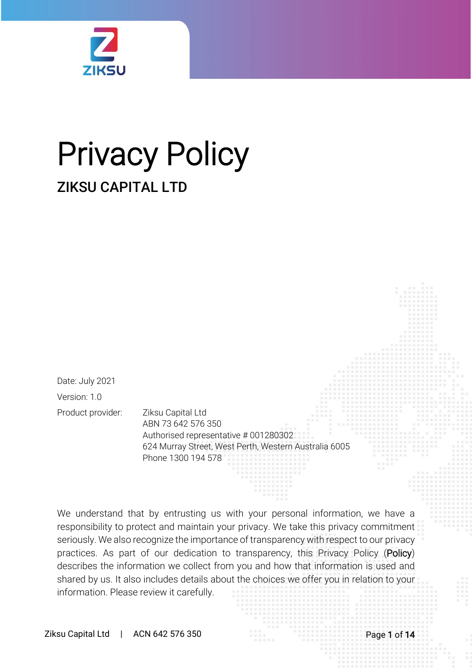

# Privacy Policy ZIKSU CAPITAL LTD

Date: July 2021 Version: 1.0 Product provider: Ziksu Capital Ltd

ABN 73 642 576 350 Authorised representative # 001280302 624 Murray Street, West Perth, Western Australia 6005 Phone 1300 194 578

We understand that by entrusting us with your personal information, we have a responsibility to protect and maintain your privacy. We take this privacy commitment seriously. We also recognize the importance of transparency with respect to our privacy practices. As part of our dedication to transparency, this Privacy Policy (Policy) describes the information we collect from you and how that information is used and shared by us. It also includes details about the choices we offer you in relation to your information. Please review it carefully.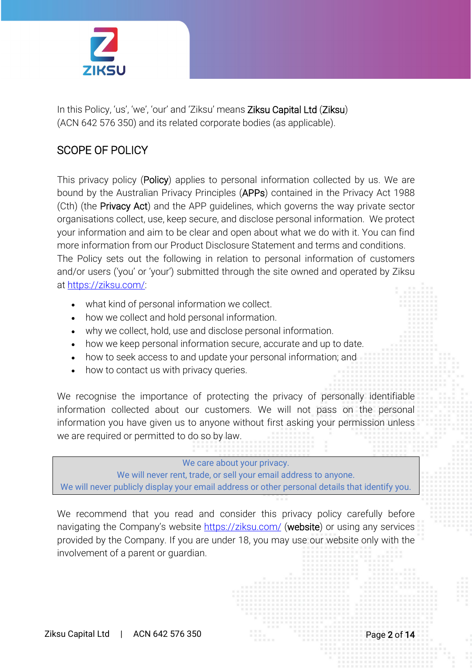

In this Policy, 'us', 'we', 'our' and 'Ziksu' means Ziksu Capital Ltd (Ziksu) (ACN 642 576 350) and its related corporate bodies (as applicable).

## SCOPE OF POLICY

This privacy policy (Policy) applies to personal information collected by us. We are bound by the Australian Privacy Principles (APPs) contained in the Privacy Act 1988 (Cth) (the Privacy Act) and the APP guidelines, which governs the way private sector organisations collect, use, keep secure, and disclose personal information. We protect your information and aim to be clear and open about what we do with it. You can find more information from our Product Disclosure Statement and terms and conditions. The Policy sets out the following in relation to personal information of customers and/or users ('you' or 'your') submitted through the site owned and operated by Ziksu at [https://ziksu.com/:](https://ziksu.com/)

- what kind of personal information we collect.
- how we collect and hold personal information.
- why we collect, hold, use and disclose personal information.
- how we keep personal information secure, accurate and up to date.
- how to seek access to and update your personal information; and
- how to contact us with privacy queries.

We recognise the importance of protecting the privacy of personally identifiable information collected about our customers. We will not pass on the personal information you have given us to anyone without first asking your permission unless we are required or permitted to do so by law.

#### We care about your privacy.

We will never rent, trade, or sell your email address to anyone. We will never publicly display your email address or other personal details that identify you.

We recommend that you read and consider this privacy policy carefully before navigating the Company's website <https://ziksu.com/> (website) or using any services provided by the Company. If you are under 18, you may use our website only with the involvement of a parent or guardian.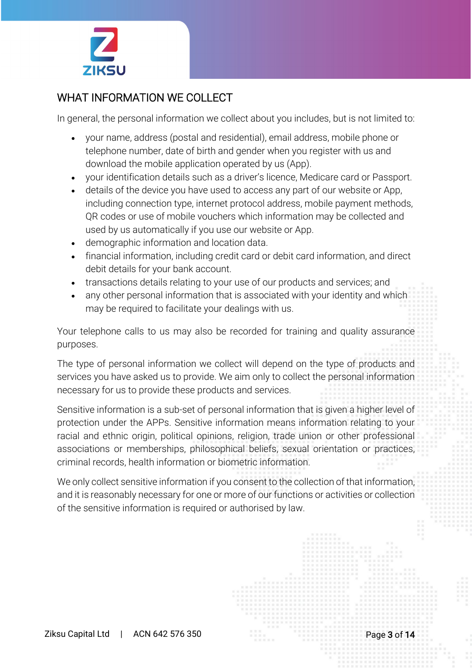

# WHAT INFORMATION WE COLLECT

In general, the personal information we collect about you includes, but is not limited to:

- your name, address (postal and residential), email address, mobile phone or telephone number, date of birth and gender when you register with us and download the mobile application operated by us (App).
- your identification details such as a driver's licence, Medicare card or Passport.
- details of the device you have used to access any part of our website or App, including connection type, internet protocol address, mobile payment methods, QR codes or use of mobile vouchers which information may be collected and used by us automatically if you use our website or App.
- demographic information and location data.
- financial information, including credit card or debit card information, and direct debit details for your bank account.
- transactions details relating to your use of our products and services; and
- any other personal information that is associated with your identity and which may be required to facilitate your dealings with us.

Your telephone calls to us may also be recorded for training and quality assurance purposes.

The type of personal information we collect will depend on the type of products and services you have asked us to provide. We aim only to collect the personal information necessary for us to provide these products and services.

Sensitive information is a sub-set of personal information that is given a higher level of protection under the APPs. Sensitive information means information relating to your racial and ethnic origin, political opinions, religion, trade union or other professional associations or memberships, philosophical beliefs, sexual orientation or practices, criminal records, health information or biometric information.

We only collect sensitive information if you consent to the collection of that information, and it is reasonably necessary for one or more of our functions or activities or collection of the sensitive information is required or authorised by law.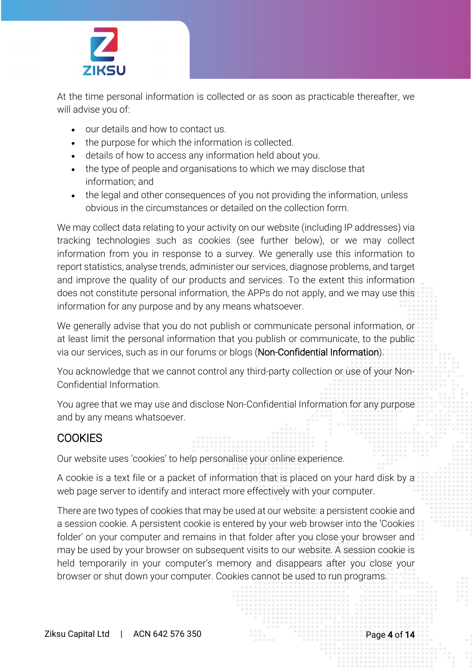

At the time personal information is collected or as soon as practicable thereafter, we will advise you of:

- our details and how to contact us.
- the purpose for which the information is collected.
- details of how to access any information held about you.
- the type of people and organisations to which we may disclose that information; and
- the legal and other consequences of you not providing the information, unless obvious in the circumstances or detailed on the collection form.

We may collect data relating to your activity on our website (including IP addresses) via tracking technologies such as cookies (see further below), or we may collect information from you in response to a survey. We generally use this information to report statistics, analyse trends, administer our services, diagnose problems, and target and improve the quality of our products and services. To the extent this information does not constitute personal information, the APPs do not apply, and we may use this information for any purpose and by any means whatsoever.

We generally advise that you do not publish or communicate personal information, or at least limit the personal information that you publish or communicate, to the public via our services, such as in our forums or blogs (Non-Confidential Information).

You acknowledge that we cannot control any third-party collection or use of your Non-Confidential Information.

You agree that we may use and disclose Non-Confidential Information for any purpose and by any means whatsoever.

## **COOKIES**

Our website uses 'cookies' to help personalise your online experience.

A cookie is a text file or a packet of information that is placed on your hard disk by a web page server to identify and interact more effectively with your computer.

There are two types of cookies that may be used at our website: a persistent cookie and a session cookie. A persistent cookie is entered by your web browser into the 'Cookies folder' on your computer and remains in that folder after you close your browser and may be used by your browser on subsequent visits to our website. A session cookie is held temporarily in your computer's memory and disappears after you close your browser or shut down your computer. Cookies cannot be used to run programs.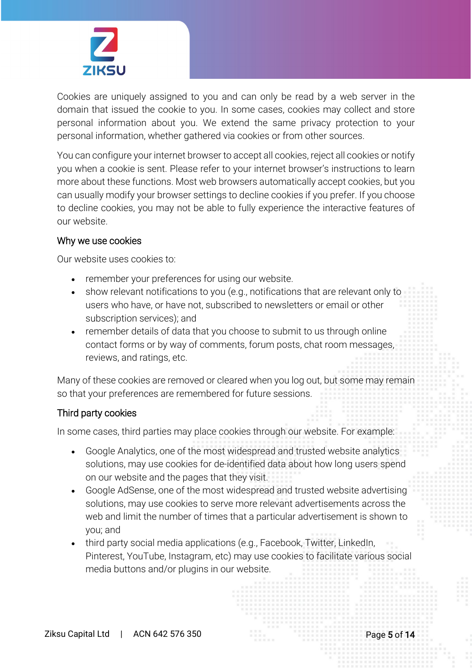

Cookies are uniquely assigned to you and can only be read by a web server in the domain that issued the cookie to you. In some cases, cookies may collect and store personal information about you. We extend the same privacy protection to your personal information, whether gathered via cookies or from other sources.

You can configure your internet browser to accept all cookies, reject all cookies or notify you when a cookie is sent. Please refer to your internet browser's instructions to learn more about these functions. Most web browsers automatically accept cookies, but you can usually modify your browser settings to decline cookies if you prefer. If you choose to decline cookies, you may not be able to fully experience the interactive features of our website.

#### Why we use cookies

Our website uses cookies to:

- remember your preferences for using our website.
- show relevant notifications to you (e.g., notifications that are relevant only to users who have, or have not, subscribed to newsletters or email or other subscription services); and
- remember details of data that you choose to submit to us through online contact forms or by way of comments, forum posts, chat room messages, reviews, and ratings, etc.

Many of these cookies are removed or cleared when you log out, but some may remain so that your preferences are remembered for future sessions.

#### Third party cookies

In some cases, third parties may place cookies through our website. For example:

- Google Analytics, one of the most widespread and trusted website analytics solutions, may use cookies for de-identified data about how long users spend on our website and the pages that they visit.
- Google AdSense, one of the most widespread and trusted website advertising solutions, may use cookies to serve more relevant advertisements across the web and limit the number of times that a particular advertisement is shown to you; and
- third party social media applications (e.g., Facebook, Twitter, LinkedIn, Pinterest, YouTube, Instagram, etc) may use cookies to facilitate various social media buttons and/or plugins in our website.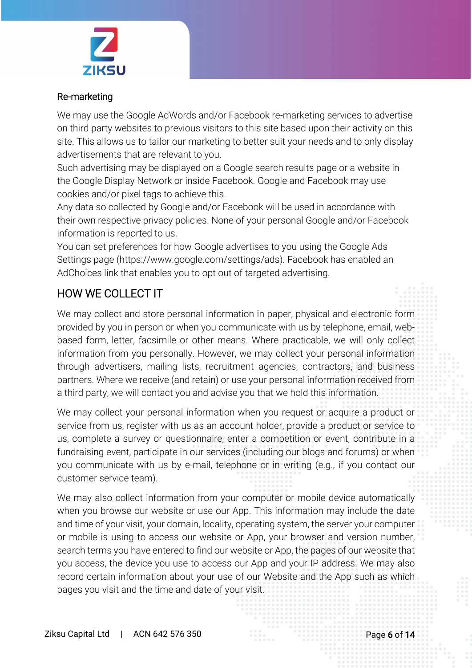

### Re-marketing

We may use the Google AdWords and/or Facebook re-marketing services to advertise on third party websites to previous visitors to this site based upon their activity on this site. This allows us to tailor our marketing to better suit your needs and to only display advertisements that are relevant to you.

Such advertising may be displayed on a Google search results page or a website in the Google Display Network or inside Facebook. Google and Facebook may use cookies and/or pixel tags to achieve this.

Any data so collected by Google and/or Facebook will be used in accordance with their own respective privacy policies. None of your personal Google and/or Facebook information is reported to us.

You can set preferences for how Google advertises to you using the Google Ads Settings page (https://www.google.com/settings/ads). Facebook has enabled an AdChoices link that enables you to opt out of targeted advertising.

# HOW WE COLLECT IT

We may collect and store personal information in paper, physical and electronic form provided by you in person or when you communicate with us by telephone, email, webbased form, letter, facsimile or other means. Where practicable, we will only collect information from you personally. However, we may collect your personal information through advertisers, mailing lists, recruitment agencies, contractors, and business partners. Where we receive (and retain) or use your personal information received from a third party, we will contact you and advise you that we hold this information.

We may collect your personal information when you request or acquire a product or service from us, register with us as an account holder, provide a product or service to us, complete a survey or questionnaire, enter a competition or event, contribute in a fundraising event, participate in our services (including our blogs and forums) or when you communicate with us by e-mail, telephone or in writing (e.g., if you contact our customer service team).

We may also collect information from your computer or mobile device automatically when you browse our website or use our App. This information may include the date and time of your visit, your domain, locality, operating system, the server your computer or mobile is using to access our website or App, your browser and version number, search terms you have entered to find our website or App, the pages of our website that you access, the device you use to access our App and your IP address. We may also record certain information about your use of our Website and the App such as which pages you visit and the time and date of your visit.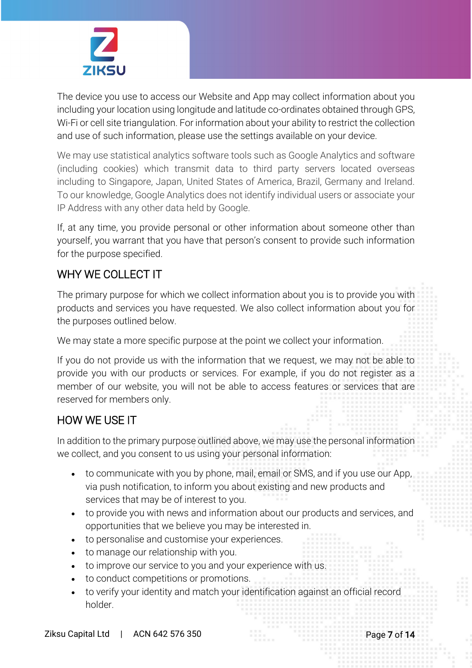

The device you use to access our Website and App may collect information about you including your location using longitude and latitude co-ordinates obtained through GPS, Wi-Fi or cell site triangulation. For information about your ability to restrict the collection and use of such information, please use the settings available on your device.

We may use statistical analytics software tools such as Google Analytics and software (including cookies) which transmit data to third party servers located overseas including to Singapore, Japan, United States of America, Brazil, Germany and Ireland. To our knowledge, Google Analytics does not identify individual users or associate your IP Address with any other data held by Google.

If, at any time, you provide personal or other information about someone other than yourself, you warrant that you have that person's consent to provide such information for the purpose specified.

# WHY WE COLLECT IT

The primary purpose for which we collect information about you is to provide you with products and services you have requested. We also collect information about you for the purposes outlined below.

We may state a more specific purpose at the point we collect your information.

If you do not provide us with the information that we request, we may not be able to provide you with our products or services. For example, if you do not register as a member of our website, you will not be able to access features or services that are reserved for members only.

# HOW WE USE IT

In addition to the primary purpose outlined above, we may use the personal information we collect, and you consent to us using your personal information:

- to communicate with you by phone, mail, email or SMS, and if you use our App, via push notification, to inform you about existing and new products and services that may be of interest to you.
- to provide you with news and information about our products and services, and opportunities that we believe you may be interested in.
- to personalise and customise your experiences.
- to manage our relationship with you.
- to improve our service to you and your experience with us.
- to conduct competitions or promotions.
- to verify your identity and match your identification against an official record holder.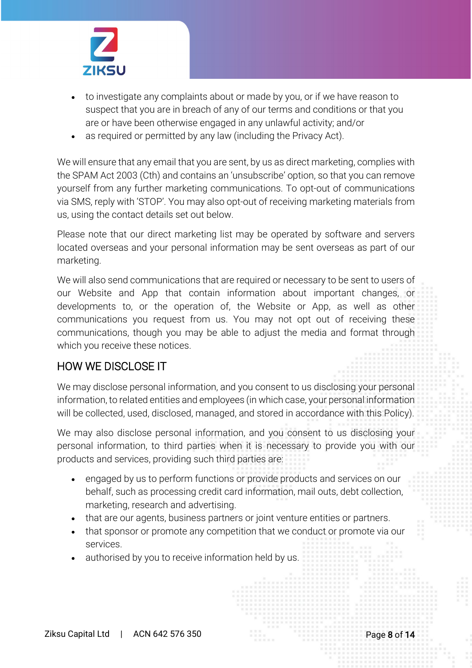

- to investigate any complaints about or made by you, or if we have reason to suspect that you are in breach of any of our terms and conditions or that you are or have been otherwise engaged in any unlawful activity; and/or
- as required or permitted by any law (including the Privacy Act).

We will ensure that any email that you are sent, by us as direct marketing, complies with the SPAM Act 2003 (Cth) and contains an 'unsubscribe' option, so that you can remove yourself from any further marketing communications. To opt-out of communications via SMS, reply with 'STOP'. You may also opt-out of receiving marketing materials from us, using the contact details set out below.

Please note that our direct marketing list may be operated by software and servers located overseas and your personal information may be sent overseas as part of our marketing.

We will also send communications that are required or necessary to be sent to users of our Website and App that contain information about important changes, or developments to, or the operation of, the Website or App, as well as other communications you request from us. You may not opt out of receiving these communications, though you may be able to adjust the media and format through which you receive these notices.

## HOW WE DISCLOSE IT

We may disclose personal information, and you consent to us disclosing your personal information, to related entities and employees (in which case, your personal information will be collected, used, disclosed, managed, and stored in accordance with this Policy).

We may also disclose personal information, and you consent to us disclosing your personal information, to third parties when it is necessary to provide you with our products and services, providing such third parties are:

- engaged by us to perform functions or provide products and services on our behalf, such as processing credit card information, mail outs, debt collection, marketing, research and advertising.
- that are our agents, business partners or joint venture entities or partners.
- that sponsor or promote any competition that we conduct or promote via our services.
- authorised by you to receive information held by us.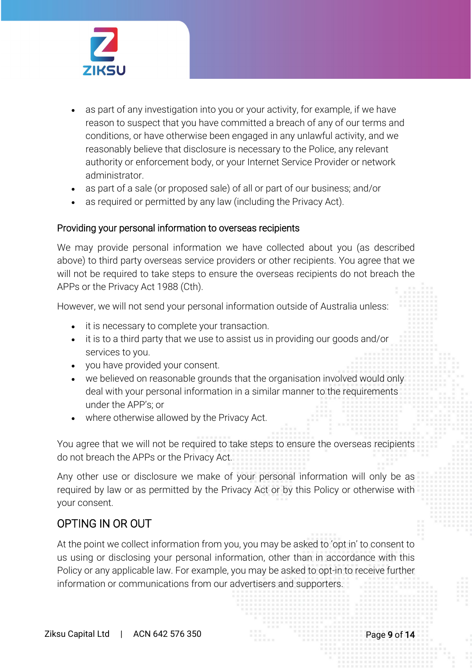

- as part of any investigation into you or your activity, for example, if we have reason to suspect that you have committed a breach of any of our terms and conditions, or have otherwise been engaged in any unlawful activity, and we reasonably believe that disclosure is necessary to the Police, any relevant authority or enforcement body, or your Internet Service Provider or network administrator.
- as part of a sale (or proposed sale) of all or part of our business; and/or
- as required or permitted by any law (including the Privacy Act).

#### Providing your personal information to overseas recipients

We may provide personal information we have collected about you (as described above) to third party overseas service providers or other recipients. You agree that we will not be required to take steps to ensure the overseas recipients do not breach the APPs or the Privacy Act 1988 (Cth).

However, we will not send your personal information outside of Australia unless:

- it is necessary to complete your transaction.
- it is to a third party that we use to assist us in providing our goods and/or services to you.
- you have provided your consent.
- we believed on reasonable grounds that the organisation involved would only deal with your personal information in a similar manner to the requirements under the APP's; or
- where otherwise allowed by the Privacy Act.

You agree that we will not be required to take steps to ensure the overseas recipients do not breach the APPs or the Privacy Act.

Any other use or disclosure we make of your personal information will only be as required by law or as permitted by the Privacy Act or by this Policy or otherwise with your consent.

## OPTING IN OR OUT

At the point we collect information from you, you may be asked to 'opt in' to consent to us using or disclosing your personal information, other than in accordance with this Policy or any applicable law. For example, you may be asked to opt-in to receive further information or communications from our advertisers and supporters.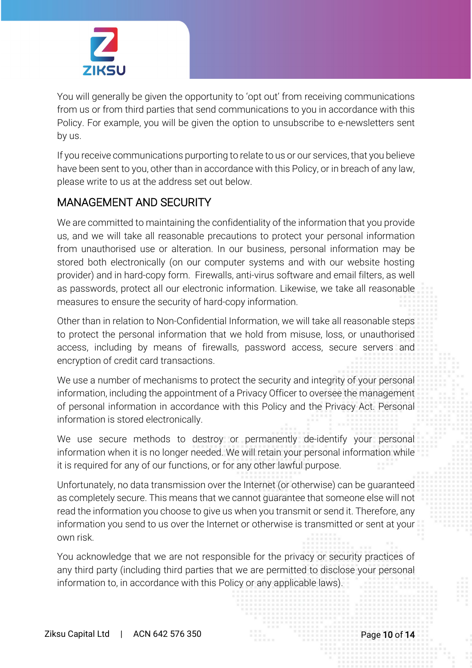

You will generally be given the opportunity to 'opt out' from receiving communications from us or from third parties that send communications to you in accordance with this Policy. For example, you will be given the option to unsubscribe to e-newsletters sent by us.

If you receive communications purporting to relate to us or our services, that you believe have been sent to you, other than in accordance with this Policy, or in breach of any law, please write to us at the address set out below.

## MANAGEMENT AND SECURITY

We are committed to maintaining the confidentiality of the information that you provide us, and we will take all reasonable precautions to protect your personal information from unauthorised use or alteration. In our business, personal information may be stored both electronically (on our computer systems and with our website hosting provider) and in hard-copy form. Firewalls, anti-virus software and email filters, as well as passwords, protect all our electronic information. Likewise, we take all reasonable measures to ensure the security of hard-copy information.

Other than in relation to Non-Confidential Information, we will take all reasonable steps to protect the personal information that we hold from misuse, loss, or unauthorised access, including by means of firewalls, password access, secure servers and encryption of credit card transactions.

We use a number of mechanisms to protect the security and integrity of your personal information, including the appointment of a Privacy Officer to oversee the management of personal information in accordance with this Policy and the Privacy Act. Personal information is stored electronically.

We use secure methods to destroy or permanently de-identify your personal information when it is no longer needed. We will retain your personal information while it is required for any of our functions, or for any other lawful purpose.

Unfortunately, no data transmission over the Internet (or otherwise) can be guaranteed as completely secure. This means that we cannot guarantee that someone else will not read the information you choose to give us when you transmit or send it. Therefore, any information you send to us over the Internet or otherwise is transmitted or sent at your own risk.

You acknowledge that we are not responsible for the privacy or security practices of any third party (including third parties that we are permitted to disclose your personal information to, in accordance with this Policy or any applicable laws).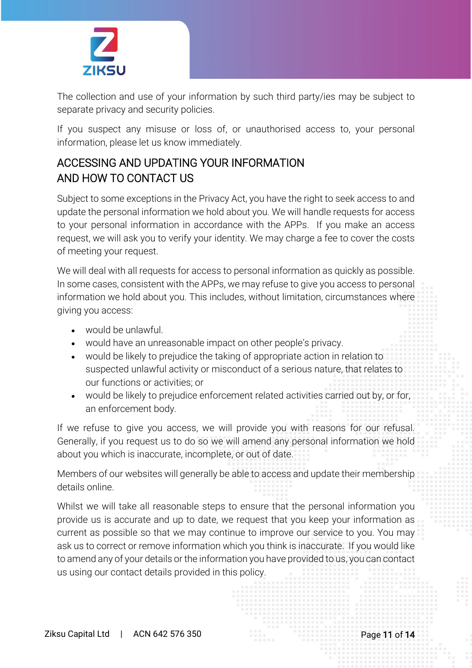

The collection and use of your information by such third party/ies may be subject to separate privacy and security policies.

If you suspect any misuse or loss of, or unauthorised access to, your personal information, please let us know immediately.

# ACCESSING AND UPDATING YOUR INFORMATION AND HOW TO CONTACT US

Subject to some exceptions in the Privacy Act, you have the right to seek access to and update the personal information we hold about you. We will handle requests for access to your personal information in accordance with the APPs. If you make an access request, we will ask you to verify your identity. We may charge a fee to cover the costs of meeting your request.

We will deal with all requests for access to personal information as quickly as possible. In some cases, consistent with the APPs, we may refuse to give you access to personal information we hold about you. This includes, without limitation, circumstances where giving you access:

- would be unlawful.
- would have an unreasonable impact on other people's privacy.
- would be likely to prejudice the taking of appropriate action in relation to suspected unlawful activity or misconduct of a serious nature, that relates to our functions or activities; or
- would be likely to prejudice enforcement related activities carried out by, or for, an enforcement body.

If we refuse to give you access, we will provide you with reasons for our refusal. Generally, if you request us to do so we will amend any personal information we hold about you which is inaccurate, incomplete, or out of date.

Members of our websites will generally be able to access and update their membership details online.

Whilst we will take all reasonable steps to ensure that the personal information you provide us is accurate and up to date, we request that you keep your information as current as possible so that we may continue to improve our service to you. You may ask us to correct or remove information which you think is inaccurate. If you would like to amend any of your details or the information you have provided to us, you can contact us using our contact details provided in this policy.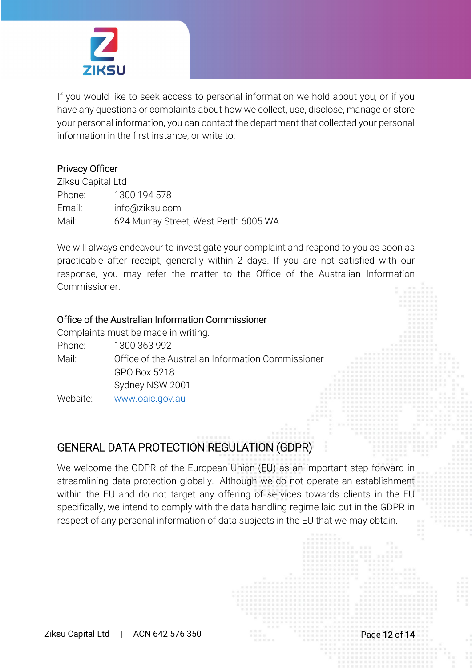

If you would like to seek access to personal information we hold about you, or if you have any questions or complaints about how we collect, use, disclose, manage or store your personal information, you can contact the department that collected your personal information in the first instance, or write to:

## Privacy Officer

Ziksu Capital Ltd Phone: 1300 194 578 Email: info@ziksu.com Mail: 624 Murray Street, West Perth 6005 WA

We will always endeavour to investigate your complaint and respond to you as soon as practicable after receipt, generally within 2 days. If you are not satisfied with our response, you may refer the matter to the Office of the Australian Information Commissioner.

## Office of the Australian Information Commissioner

Complaints must be made in writing. Phone: 1300 363 992 Mail: Office of the Australian Information Commissioner GPO Box 5218 Sydney NSW 2001 Website: [www.oaic.gov.au](http://www.oaic.gov.au/)

## GENERAL DATA PROTECTION REGULATION (GDPR)

We welcome the GDPR of the European Union (EU) as an important step forward in streamlining data protection globally. Although we do not operate an establishment within the EU and do not target any offering of services towards clients in the EU specifically, we intend to comply with the data handling regime laid out in the GDPR in respect of any personal information of data subjects in the EU that we may obtain.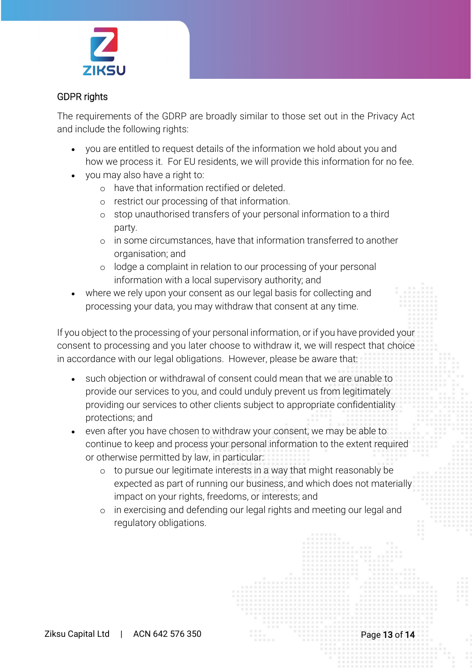

## GDPR rights

The requirements of the GDRP are broadly similar to those set out in the Privacy Act and include the following rights:

- you are entitled to request details of the information we hold about you and how we process it. For EU residents, we will provide this information for no fee.
- you may also have a right to:
	- o have that information rectified or deleted.
	- o restrict our processing of that information.
	- o stop unauthorised transfers of your personal information to a third party.
	- o in some circumstances, have that information transferred to another organisation; and
	- o lodge a complaint in relation to our processing of your personal information with a local supervisory authority; and
- where we rely upon your consent as our legal basis for collecting and processing your data, you may withdraw that consent at any time.

If you object to the processing of your personal information, or if you have provided your consent to processing and you later choose to withdraw it, we will respect that choice in accordance with our legal obligations. However, please be aware that:

- such objection or withdrawal of consent could mean that we are unable to provide our services to you, and could unduly prevent us from legitimately providing our services to other clients subject to appropriate confidentiality protections; and
- even after you have chosen to withdraw your consent, we may be able to continue to keep and process your personal information to the extent required or otherwise permitted by law, in particular:
	- o to pursue our legitimate interests in a way that might reasonably be expected as part of running our business, and which does not materially impact on your rights, freedoms, or interests; and
	- o in exercising and defending our legal rights and meeting our legal and regulatory obligations.